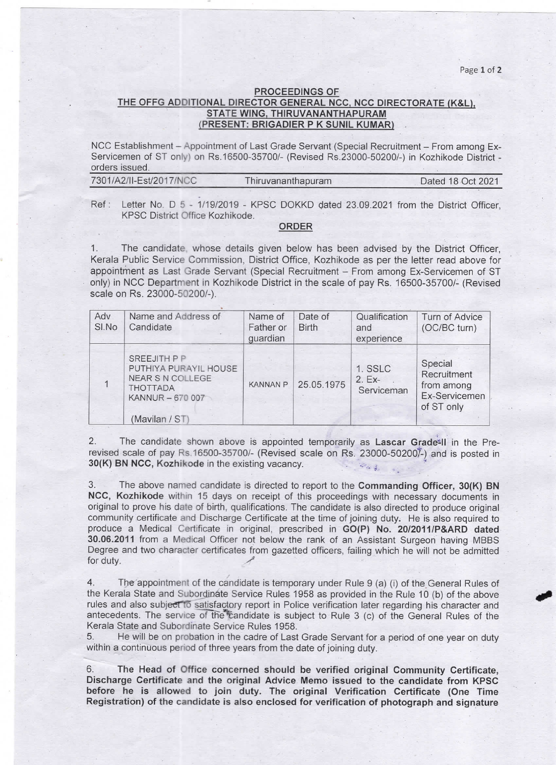Page 1 of 2

## PROCEEDINGS OF THE OFFG ADDITIONAL DIRECTOR GENERAL NCC, NCC DIRECTORATE (K&L), STATE WING. THIRUVANANTHAPURAM (PRESENT: BRIGADIER P K SUNIL KUMAR)

NCC Establishment - Appointment of Last Grade Servant (Special Recruitment - From among Ex-Servicemen of ST only) on Rs.16500-35700/-(Revised Rs.23000-50200/-) in Kozhikode District orders issued.

| 7301/A2/II-Est/2017/NCC | Thiruvananthapuram | Dated 18 Oct 2021 |
|-------------------------|--------------------|-------------------|
|                         |                    |                   |

Ref: Letter No. D 5 - 1/19/2019 - KPSC DOKKD dated 23.09.2021 from the District Officer, KPSC District Office Kozhikode.

## ORDER

The candidate, whose details given below has been advised by the District Officer, Kerala Public Service Commission, District Office, Kozhikode as per the letter read above for appointment as Last Grade Servant (Special Recruitment - From among Ex-Servicemen of ST only) in NCC Department in Kozhikode District in the scale of pay Rs.16500-35700/-(Revised scale on Rs. 23000-50200/-).

| Adv<br>SI.No | Name and Address of<br>Candidate                                                                                         | Name of<br>Father or<br>guardian | Date of<br><b>Birth</b> | Qualification<br>and<br>experience | Turn of Advice<br>(OC/BC turn)                                      |
|--------------|--------------------------------------------------------------------------------------------------------------------------|----------------------------------|-------------------------|------------------------------------|---------------------------------------------------------------------|
|              | SREEJITH P P<br>PUTHIYA PURAYIL HOUSE<br><b>NEAR S N COLLEGE</b><br><b>THOTTADA</b><br>KANNUR - 670 007<br>(Mavilan / ST | <b>KANNAN P</b>                  | 25.05.1975              | 1. SSLC<br>$2. Ex-$<br>Serviceman  | Special<br>Recruitment<br>from among<br>Ex-Servicemen<br>of ST only |

2. The candidate shown above is appointed temporarily as Lascar Grade<sup>=11</sup> in the Prerevised scale of pay Rs.16500-35700/-(Revised scale on Rs. 23000-502007-) and is posted in 30(K) BN NCC, Kozhikode in the existing vacancy.

3. The above named candidate is directed to report to the commanding officer, 30(K) BN NCC, Kozhikode within 15 days on receipt of this proceedings with necessary documents in original to prove his date of birth, qualifications. The candidate is also directed to produce original community certificate and Discharge Certificate at the time of joining duty. He is also required to produce a Medical Certificate in original, prescribed in GO(P) No. 20/2011/P&ARD dated 30.06.2011 from a Medical Officer not below the rank of an Assistant Surgeon having MBBS Degree and two character certificates from gazetted officers, failing whieh he will not be admitted for duty.

4. The appointment of the candidate is temporary under Rule 9 (a) (i) of the General Rules of the Kerala State and Subordinate Service Rules 1958 as provided in the Rule 10 (b) of the above rules and also subject to satisfactory report in Police verification later regarding his character and antecedents. The service of the candidate is subject to Rule 3 (c) of the General Rules of the Kerala State and Subordinate Service Rules 1958.

5. He will be on probation in the cadre of Last Grade Servant for a period of one year on duty within a continuous period of three years from the date of joining duty.

6. The Head of Office concerned should be verified original Community Certificate, Discharge Certificate and the original Advice Memo issued to the candidate from KPSC before he is allowed to join duty. The original Verification Certificate (One Time Registration) of the candidate is also enclosed for verification of photograph and signature